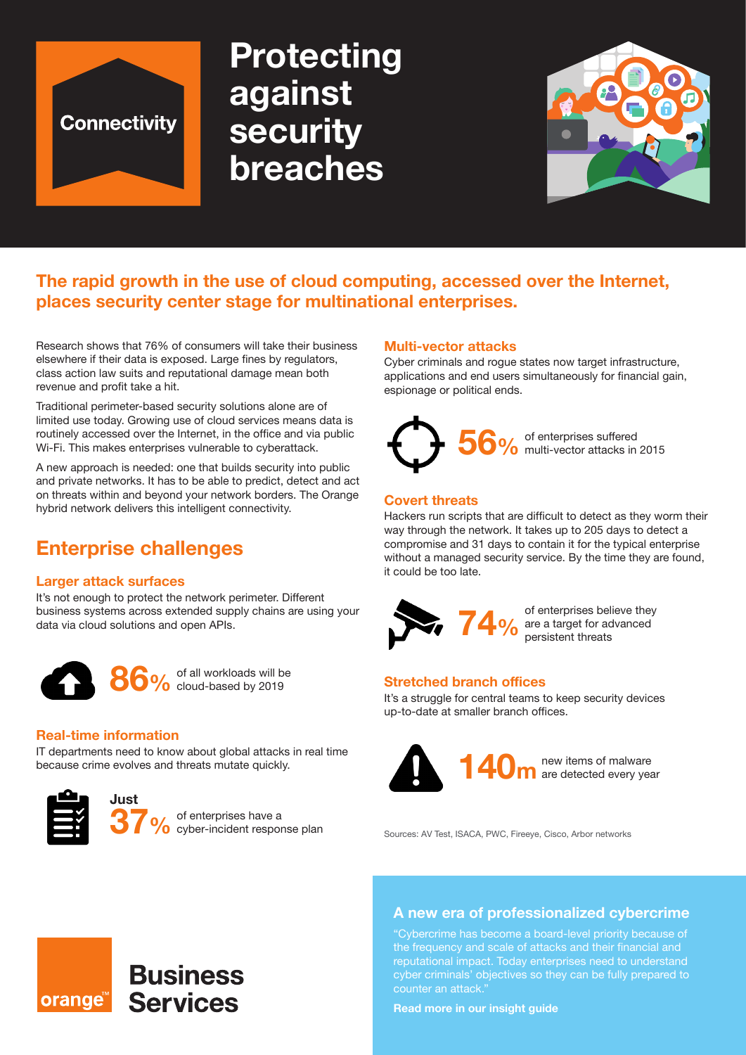

# **Protecting against security breaches**



# **The rapid growth in the use of cloud computing, accessed over the Internet, places security center stage for multinational enterprises.**

Research shows that 76% of consumers will take their business elsewhere if their data is exposed. Large fines by regulators, class action law suits and reputational damage mean both revenue and profit take a hit.

Traditional perimeter-based security solutions alone are of limited use today. Growing use of cloud services means data is routinely accessed over the Internet, in the office and via public Wi-Fi. This makes enterprises vulnerable to cyberattack.

A new approach is needed: one that builds security into public and private networks. It has to be able to predict, detect and act on threats within and beyond your network borders. The Orange hybrid network delivers this intelligent connectivity.

# **Enterprise challenges**

#### **Larger attack surfaces**

It's not enough to protect the network perimeter. Different business systems across extended supply chains are using your data via cloud solutions and open APIs.



86% of all workloads will be **86%** cloud-based by 2019

#### **Real-time information**

IT departments need to know about global attacks in real time because crime evolves and threats mutate quickly.

**Business** 

**Services** 



orange<sup>™</sup>

**Just**

**37%** of enterprises have a<br> **37%** cyber-incident response plan

#### **Multi-vector attacks**

Cyber criminals and rogue states now target infrastructure, applications and end users simultaneously for financial gain, espionage or political ends.



#### **Covert threats**

Hackers run scripts that are difficult to detect as they worm their way through the network. It takes up to 205 days to detect a compromise and 31 days to contain it for the typical enterprise without a managed security service. By the time they are found, it could be too late.



**74.** O<sub>o</sub> of enterprises believe they are a target for advanced persistent threats

#### **Stretched branch offices**

It's a struggle for central teams to keep security devices up-to-date at smaller branch offices.



Sources: AV Test, ISACA, PWC, Fireeye, Cisco, Arbor networks

#### **A new era of professionalized cybercrime**

"Cybercrime has become a board-level priority because of the frequency and scale of attacks and their financial and reputational impact. Today enterprises need to understand cyber criminals' objectives so they can be fully prepared to counter an attack."

**Read more in our insight guide**